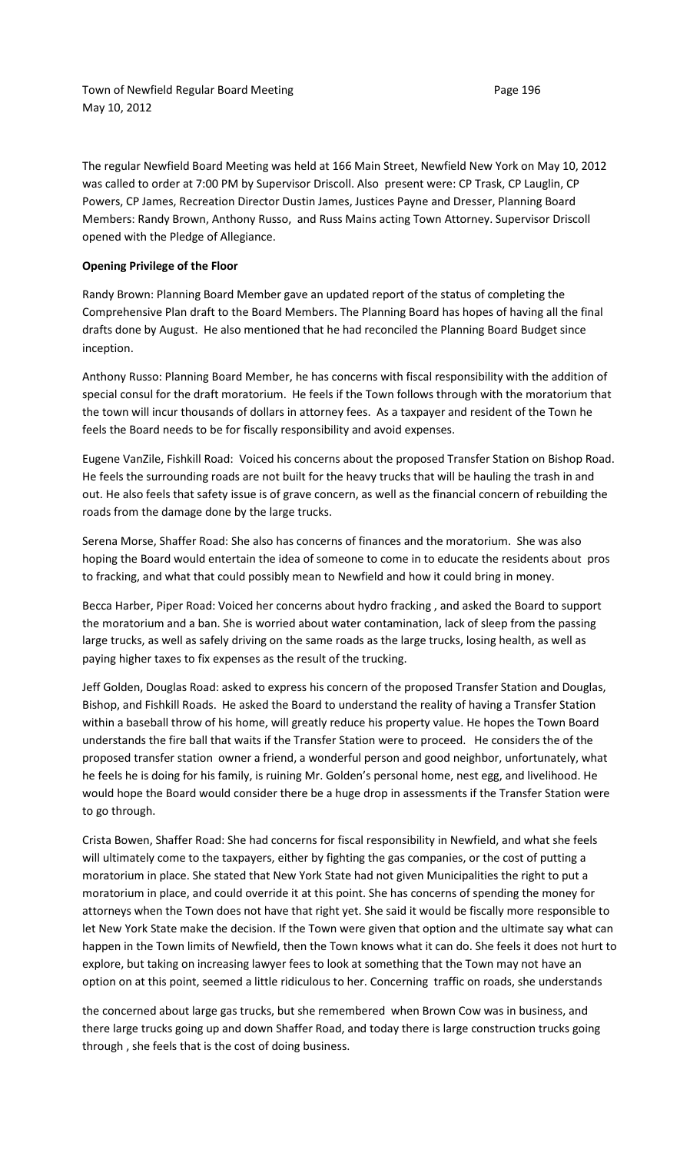The regular Newfield Board Meeting was held at 166 Main Street, Newfield New York on May 10, 2012 was called to order at 7:00 PM by Supervisor Driscoll. Also present were: CP Trask, CP Lauglin, CP Powers, CP James, Recreation Director Dustin James, Justices Payne and Dresser, Planning Board Members: Randy Brown, Anthony Russo, and Russ Mains acting Town Attorney. Supervisor Driscoll opened with the Pledge of Allegiance.

#### **Opening Privilege of the Floor**

Randy Brown: Planning Board Member gave an updated report of the status of completing the Comprehensive Plan draft to the Board Members. The Planning Board has hopes of having all the final drafts done by August. He also mentioned that he had reconciled the Planning Board Budget since inception.

Anthony Russo: Planning Board Member, he has concerns with fiscal responsibility with the addition of special consul for the draft moratorium. He feels if the Town follows through with the moratorium that the town will incur thousands of dollars in attorney fees. As a taxpayer and resident of the Town he feels the Board needs to be for fiscally responsibility and avoid expenses.

Eugene VanZile, Fishkill Road: Voiced his concerns about the proposed Transfer Station on Bishop Road. He feels the surrounding roads are not built for the heavy trucks that will be hauling the trash in and out. He also feels that safety issue is of grave concern, as well as the financial concern of rebuilding the roads from the damage done by the large trucks.

Serena Morse, Shaffer Road: She also has concerns of finances and the moratorium. She was also hoping the Board would entertain the idea of someone to come in to educate the residents about pros to fracking, and what that could possibly mean to Newfield and how it could bring in money.

Becca Harber, Piper Road: Voiced her concerns about hydro fracking , and asked the Board to support the moratorium and a ban. She is worried about water contamination, lack of sleep from the passing large trucks, as well as safely driving on the same roads as the large trucks, losing health, as well as paying higher taxes to fix expenses as the result of the trucking.

Jeff Golden, Douglas Road: asked to express his concern of the proposed Transfer Station and Douglas, Bishop, and Fishkill Roads. He asked the Board to understand the reality of having a Transfer Station within a baseball throw of his home, will greatly reduce his property value. He hopes the Town Board understands the fire ball that waits if the Transfer Station were to proceed. He considers the of the proposed transfer station owner a friend, a wonderful person and good neighbor, unfortunately, what he feels he is doing for his family, is ruining Mr. Golden's personal home, nest egg, and livelihood. He would hope the Board would consider there be a huge drop in assessments if the Transfer Station were to go through.

Crista Bowen, Shaffer Road: She had concerns for fiscal responsibility in Newfield, and what she feels will ultimately come to the taxpayers, either by fighting the gas companies, or the cost of putting a moratorium in place. She stated that New York State had not given Municipalities the right to put a moratorium in place, and could override it at this point. She has concerns of spending the money for attorneys when the Town does not have that right yet. She said it would be fiscally more responsible to let New York State make the decision. If the Town were given that option and the ultimate say what can happen in the Town limits of Newfield, then the Town knows what it can do. She feels it does not hurt to explore, but taking on increasing lawyer fees to look at something that the Town may not have an option on at this point, seemed a little ridiculous to her. Concerning traffic on roads, she understands

the concerned about large gas trucks, but she remembered when Brown Cow was in business, and there large trucks going up and down Shaffer Road, and today there is large construction trucks going through , she feels that is the cost of doing business.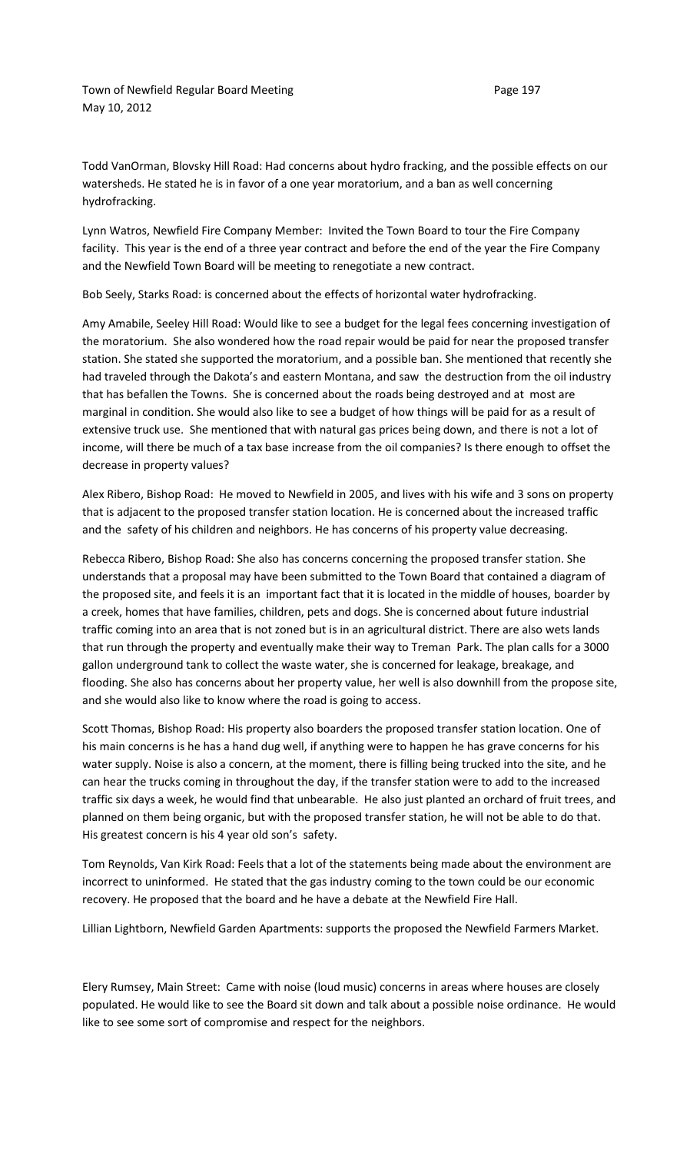Town of Newfield Regular Board Meeting entitled and the Case 197 May 10, 2012

Todd VanOrman, Blovsky Hill Road: Had concerns about hydro fracking, and the possible effects on our watersheds. He stated he is in favor of a one year moratorium, and a ban as well concerning hydrofracking.

Lynn Watros, Newfield Fire Company Member: Invited the Town Board to tour the Fire Company facility. This year is the end of a three year contract and before the end of the year the Fire Company and the Newfield Town Board will be meeting to renegotiate a new contract.

Bob Seely, Starks Road: is concerned about the effects of horizontal water hydrofracking.

Amy Amabile, Seeley Hill Road: Would like to see a budget for the legal fees concerning investigation of the moratorium. She also wondered how the road repair would be paid for near the proposed transfer station. She stated she supported the moratorium, and a possible ban. She mentioned that recently she had traveled through the Dakota's and eastern Montana, and saw the destruction from the oil industry that has befallen the Towns. She is concerned about the roads being destroyed and at most are marginal in condition. She would also like to see a budget of how things will be paid for as a result of extensive truck use. She mentioned that with natural gas prices being down, and there is not a lot of income, will there be much of a tax base increase from the oil companies? Is there enough to offset the decrease in property values?

Alex Ribero, Bishop Road: He moved to Newfield in 2005, and lives with his wife and 3 sons on property that is adjacent to the proposed transfer station location. He is concerned about the increased traffic and the safety of his children and neighbors. He has concerns of his property value decreasing.

Rebecca Ribero, Bishop Road: She also has concerns concerning the proposed transfer station. She understands that a proposal may have been submitted to the Town Board that contained a diagram of the proposed site, and feels it is an important fact that it is located in the middle of houses, boarder by a creek, homes that have families, children, pets and dogs. She is concerned about future industrial traffic coming into an area that is not zoned but is in an agricultural district. There are also wets lands that run through the property and eventually make their way to Treman Park. The plan calls for a 3000 gallon underground tank to collect the waste water, she is concerned for leakage, breakage, and flooding. She also has concerns about her property value, her well is also downhill from the propose site, and she would also like to know where the road is going to access.

Scott Thomas, Bishop Road: His property also boarders the proposed transfer station location. One of his main concerns is he has a hand dug well, if anything were to happen he has grave concerns for his water supply. Noise is also a concern, at the moment, there is filling being trucked into the site, and he can hear the trucks coming in throughout the day, if the transfer station were to add to the increased traffic six days a week, he would find that unbearable. He also just planted an orchard of fruit trees, and planned on them being organic, but with the proposed transfer station, he will not be able to do that. His greatest concern is his 4 year old son's safety.

Tom Reynolds, Van Kirk Road: Feels that a lot of the statements being made about the environment are incorrect to uninformed. He stated that the gas industry coming to the town could be our economic recovery. He proposed that the board and he have a debate at the Newfield Fire Hall.

Lillian Lightborn, Newfield Garden Apartments: supports the proposed the Newfield Farmers Market.

Elery Rumsey, Main Street: Came with noise (loud music) concerns in areas where houses are closely populated. He would like to see the Board sit down and talk about a possible noise ordinance. He would like to see some sort of compromise and respect for the neighbors.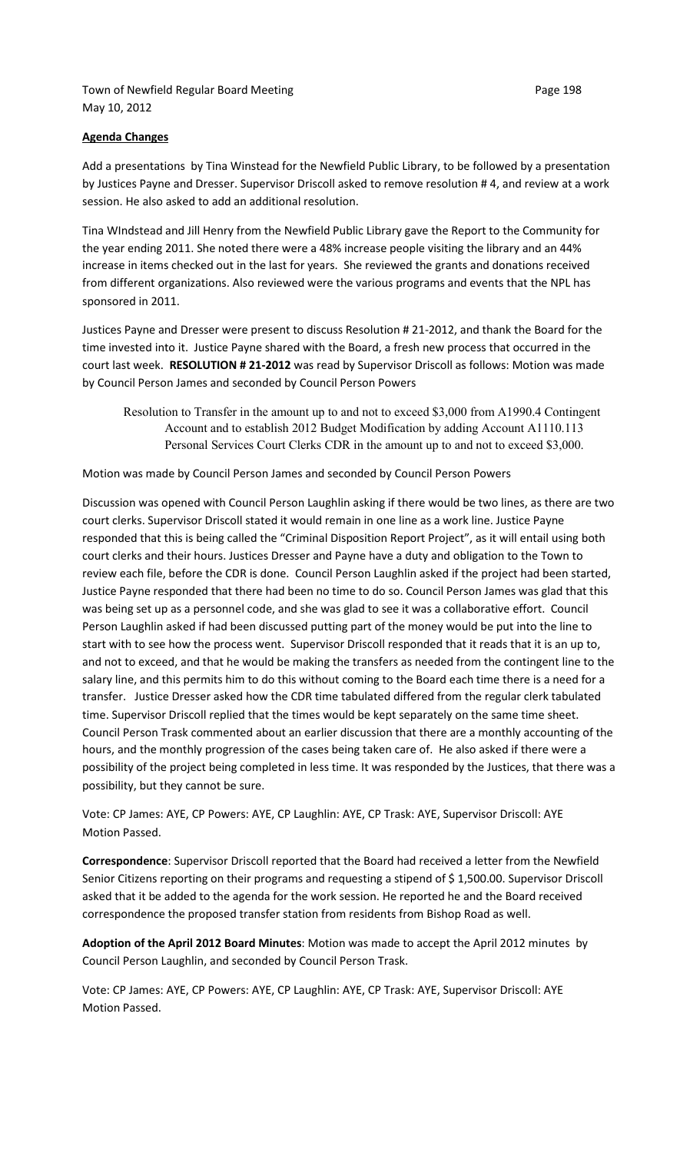Town of Newfield Regular Board Meeting **Page 198** Page 198 May 10, 2012

Add a presentations by Tina Winstead for the Newfield Public Library, to be followed by a presentation by Justices Payne and Dresser. Supervisor Driscoll asked to remove resolution # 4, and review at a work session. He also asked to add an additional resolution.

Tina WIndstead and Jill Henry from the Newfield Public Library gave the Report to the Community for the year ending 2011. She noted there were a 48% increase people visiting the library and an 44% increase in items checked out in the last for years. She reviewed the grants and donations received from different organizations. Also reviewed were the various programs and events that the NPL has sponsored in 2011.

Justices Payne and Dresser were present to discuss Resolution # 21-2012, and thank the Board for the time invested into it. Justice Payne shared with the Board, a fresh new process that occurred in the court last week. **RESOLUTION # 21-2012** was read by Supervisor Driscoll as follows: Motion was made by Council Person James and seconded by Council Person Powers

Resolution to Transfer in the amount up to and not to exceed \$3,000 from A1990.4 Contingent Account and to establish 2012 Budget Modification by adding Account A1110.113 Personal Services Court Clerks CDR in the amount up to and not to exceed \$3,000.

Motion was made by Council Person James and seconded by Council Person Powers

Discussion was opened with Council Person Laughlin asking if there would be two lines, as there are two court clerks. Supervisor Driscoll stated it would remain in one line as a work line. Justice Payne responded that this is being called the "Criminal Disposition Report Project", as it will entail using both court clerks and their hours. Justices Dresser and Payne have a duty and obligation to the Town to review each file, before the CDR is done. Council Person Laughlin asked if the project had been started, Justice Payne responded that there had been no time to do so. Council Person James was glad that this was being set up as a personnel code, and she was glad to see it was a collaborative effort. Council Person Laughlin asked if had been discussed putting part of the money would be put into the line to start with to see how the process went. Supervisor Driscoll responded that it reads that it is an up to, and not to exceed, and that he would be making the transfers as needed from the contingent line to the salary line, and this permits him to do this without coming to the Board each time there is a need for a transfer. Justice Dresser asked how the CDR time tabulated differed from the regular clerk tabulated time. Supervisor Driscoll replied that the times would be kept separately on the same time sheet. Council Person Trask commented about an earlier discussion that there are a monthly accounting of the hours, and the monthly progression of the cases being taken care of. He also asked if there were a possibility of the project being completed in less time. It was responded by the Justices, that there was a possibility, but they cannot be sure.

Vote: CP James: AYE, CP Powers: AYE, CP Laughlin: AYE, CP Trask: AYE, Supervisor Driscoll: AYE Motion Passed.

**Correspondence**: Supervisor Driscoll reported that the Board had received a letter from the Newfield Senior Citizens reporting on their programs and requesting a stipend of \$1,500.00. Supervisor Driscoll asked that it be added to the agenda for the work session. He reported he and the Board received correspondence the proposed transfer station from residents from Bishop Road as well.

**Adoption of the April 2012 Board Minutes**: Motion was made to accept the April 2012 minutes by Council Person Laughlin, and seconded by Council Person Trask.

Vote: CP James: AYE, CP Powers: AYE, CP Laughlin: AYE, CP Trask: AYE, Supervisor Driscoll: AYE Motion Passed.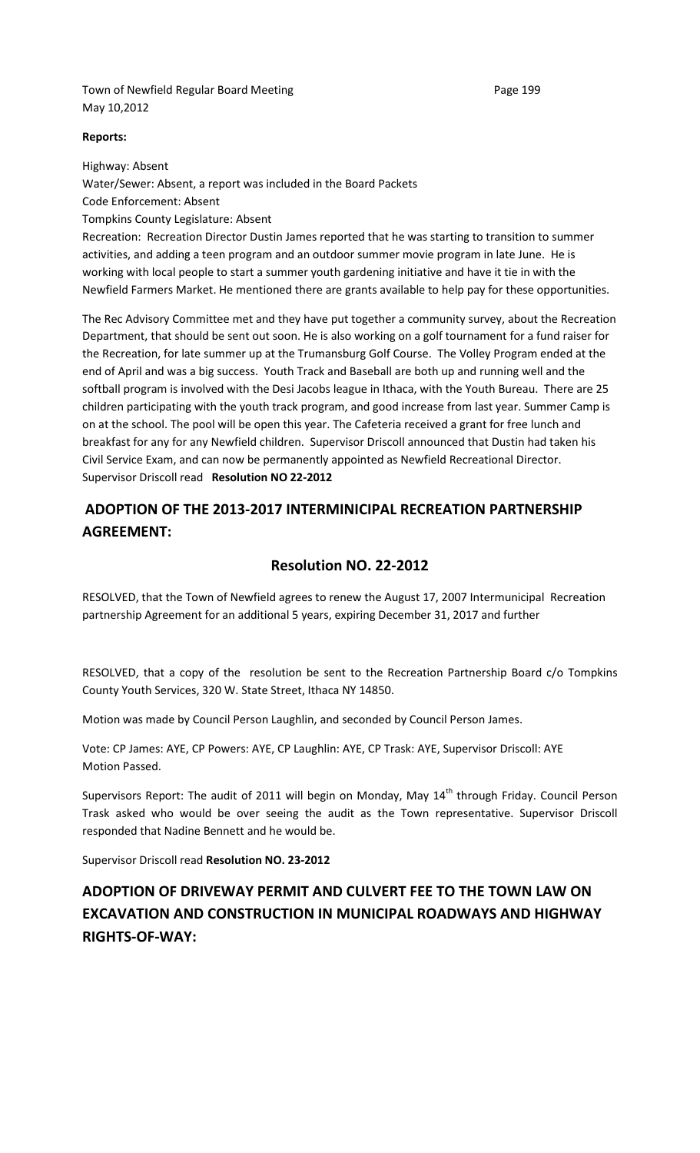Town of Newfield Regular Board Meeting entitled and the Page 199 May 10,2012

## **Reports:**

Highway: Absent Water/Sewer: Absent, a report was included in the Board Packets Code Enforcement: Absent Tompkins County Legislature: Absent Recreation: Recreation Director Dustin James reported that he was starting to transition to summer activities, and adding a teen program and an outdoor summer movie program in late June. He is

working with local people to start a summer youth gardening initiative and have it tie in with the Newfield Farmers Market. He mentioned there are grants available to help pay for these opportunities. The Rec Advisory Committee met and they have put together a community survey, about the Recreation

Department, that should be sent out soon. He is also working on a golf tournament for a fund raiser for the Recreation, for late summer up at the Trumansburg Golf Course. The Volley Program ended at the end of April and was a big success. Youth Track and Baseball are both up and running well and the softball program is involved with the Desi Jacobs league in Ithaca, with the Youth Bureau. There are 25 children participating with the youth track program, and good increase from last year. Summer Camp is on at the school. The pool will be open this year. The Cafeteria received a grant for free lunch and breakfast for any for any Newfield children. Supervisor Driscoll announced that Dustin had taken his Civil Service Exam, and can now be permanently appointed as Newfield Recreational Director. Supervisor Driscoll read **Resolution NO 22-2012** 

# **ADOPTION OF THE 2013-2017 INTERMINICIPAL RECREATION PARTNERSHIP AGREEMENT:**

## **Resolution NO. 22-2012**

RESOLVED, that the Town of Newfield agrees to renew the August 17, 2007 Intermunicipal Recreation partnership Agreement for an additional 5 years, expiring December 31, 2017 and further

RESOLVED, that a copy of the resolution be sent to the Recreation Partnership Board c/o Tompkins County Youth Services, 320 W. State Street, Ithaca NY 14850.

Motion was made by Council Person Laughlin, and seconded by Council Person James.

Vote: CP James: AYE, CP Powers: AYE, CP Laughlin: AYE, CP Trask: AYE, Supervisor Driscoll: AYE Motion Passed.

Supervisors Report: The audit of 2011 will begin on Monday, May 14<sup>th</sup> through Friday. Council Person Trask asked who would be over seeing the audit as the Town representative. Supervisor Driscoll responded that Nadine Bennett and he would be.

Supervisor Driscoll read **Resolution NO. 23-2012**

# **ADOPTION OF DRIVEWAY PERMIT AND CULVERT FEE TO THE TOWN LAW ON EXCAVATION AND CONSTRUCTION IN MUNICIPAL ROADWAYS AND HIGHWAY RIGHTS-OF-WAY:**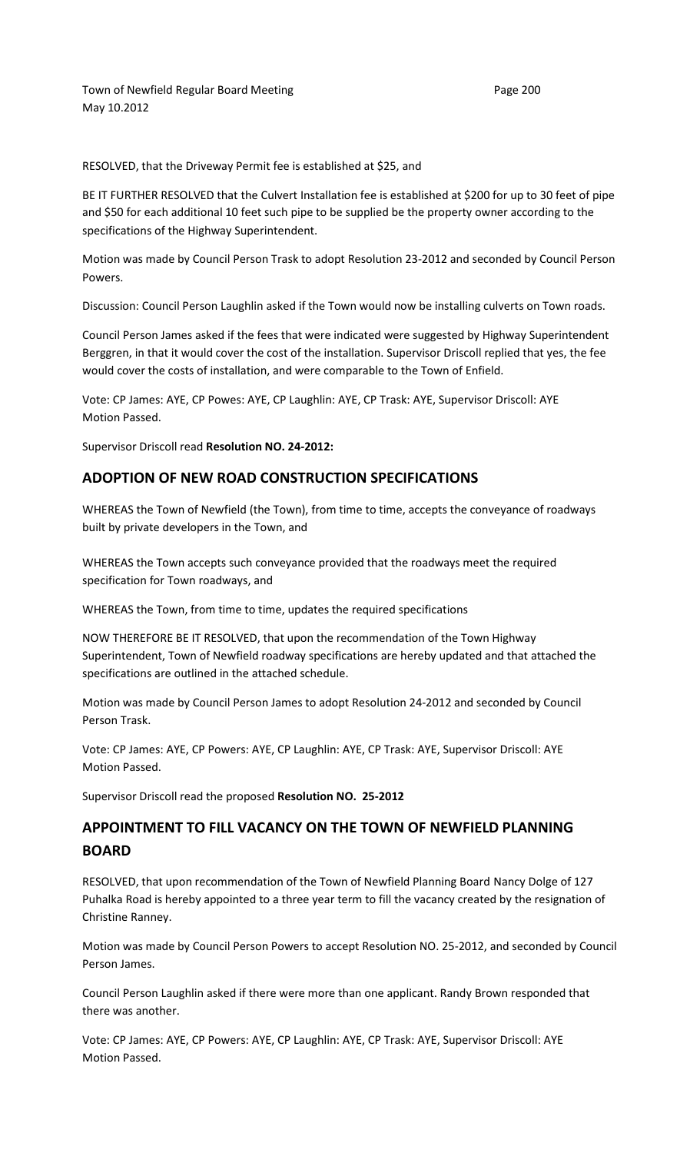Town of Newfield Regular Board Meeting entitled and the Page 200 May 10.2012

RESOLVED, that the Driveway Permit fee is established at \$25, and

BE IT FURTHER RESOLVED that the Culvert Installation fee is established at \$200 for up to 30 feet of pipe and \$50 for each additional 10 feet such pipe to be supplied be the property owner according to the specifications of the Highway Superintendent.

Motion was made by Council Person Trask to adopt Resolution 23-2012 and seconded by Council Person Powers.

Discussion: Council Person Laughlin asked if the Town would now be installing culverts on Town roads.

Council Person James asked if the fees that were indicated were suggested by Highway Superintendent Berggren, in that it would cover the cost of the installation. Supervisor Driscoll replied that yes, the fee would cover the costs of installation, and were comparable to the Town of Enfield.

Vote: CP James: AYE, CP Powes: AYE, CP Laughlin: AYE, CP Trask: AYE, Supervisor Driscoll: AYE Motion Passed.

Supervisor Driscoll read **Resolution NO. 24-2012:**

### **ADOPTION OF NEW ROAD CONSTRUCTION SPECIFICATIONS**

WHEREAS the Town of Newfield (the Town), from time to time, accepts the conveyance of roadways built by private developers in the Town, and

WHEREAS the Town accepts such conveyance provided that the roadways meet the required specification for Town roadways, and

WHEREAS the Town, from time to time, updates the required specifications

NOW THEREFORE BE IT RESOLVED, that upon the recommendation of the Town Highway Superintendent, Town of Newfield roadway specifications are hereby updated and that attached the specifications are outlined in the attached schedule.

Motion was made by Council Person James to adopt Resolution 24-2012 and seconded by Council Person Trask.

Vote: CP James: AYE, CP Powers: AYE, CP Laughlin: AYE, CP Trask: AYE, Supervisor Driscoll: AYE Motion Passed.

Supervisor Driscoll read the proposed **Resolution NO. 25-2012** 

## **APPOINTMENT TO FILL VACANCY ON THE TOWN OF NEWFIELD PLANNING BOARD**

RESOLVED, that upon recommendation of the Town of Newfield Planning Board Nancy Dolge of 127 Puhalka Road is hereby appointed to a three year term to fill the vacancy created by the resignation of Christine Ranney.

Motion was made by Council Person Powers to accept Resolution NO. 25-2012, and seconded by Council Person James.

Council Person Laughlin asked if there were more than one applicant. Randy Brown responded that there was another.

Vote: CP James: AYE, CP Powers: AYE, CP Laughlin: AYE, CP Trask: AYE, Supervisor Driscoll: AYE Motion Passed.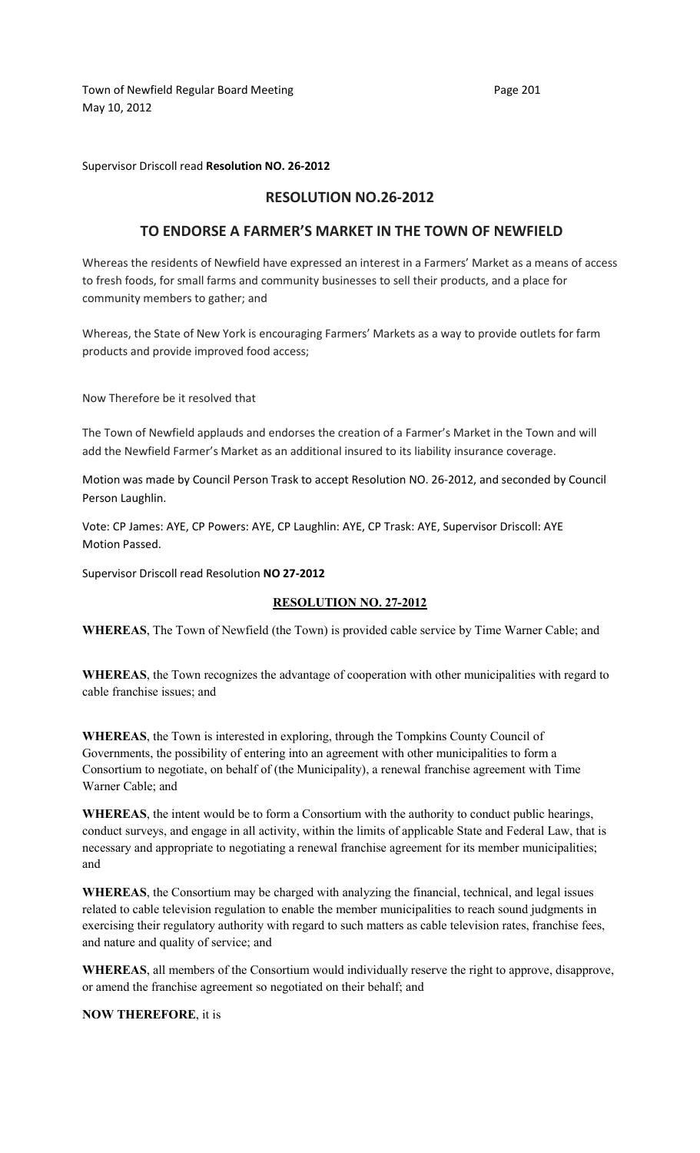Town of Newfield Regular Board Meeting entitled and the Page 201 May 10, 2012

Supervisor Driscoll read **Resolution NO. 26-2012** 

## **RESOLUTION NO.26-2012**

## **TO ENDORSE A FARMER'S MARKET IN THE TOWN OF NEWFIELD**

Whereas the residents of Newfield have expressed an interest in a Farmers' Market as a means of access to fresh foods, for small farms and community businesses to sell their products, and a place for community members to gather; and

Whereas, the State of New York is encouraging Farmers' Markets as a way to provide outlets for farm products and provide improved food access;

Now Therefore be it resolved that

The Town of Newfield applauds and endorses the creation of a Farmer's Market in the Town and will add the Newfield Farmer's Market as an additional insured to its liability insurance coverage.

Motion was made by Council Person Trask to accept Resolution NO. 26-2012, and seconded by Council Person Laughlin.

Vote: CP James: AYE, CP Powers: AYE, CP Laughlin: AYE, CP Trask: AYE, Supervisor Driscoll: AYE Motion Passed.

Supervisor Driscoll read Resolution **NO 27-2012** 

### **RESOLUTION NO. 27-2012**

**WHEREAS**, The Town of Newfield (the Town) is provided cable service by Time Warner Cable; and

**WHEREAS**, the Town recognizes the advantage of cooperation with other municipalities with regard to cable franchise issues; and

**WHEREAS**, the Town is interested in exploring, through the Tompkins County Council of Governments, the possibility of entering into an agreement with other municipalities to form a Consortium to negotiate, on behalf of (the Municipality), a renewal franchise agreement with Time Warner Cable; and

**WHEREAS**, the intent would be to form a Consortium with the authority to conduct public hearings, conduct surveys, and engage in all activity, within the limits of applicable State and Federal Law, that is necessary and appropriate to negotiating a renewal franchise agreement for its member municipalities; and

**WHEREAS**, the Consortium may be charged with analyzing the financial, technical, and legal issues related to cable television regulation to enable the member municipalities to reach sound judgments in exercising their regulatory authority with regard to such matters as cable television rates, franchise fees, and nature and quality of service; and

**WHEREAS**, all members of the Consortium would individually reserve the right to approve, disapprove, or amend the franchise agreement so negotiated on their behalf; and

**NOW THEREFORE**, it is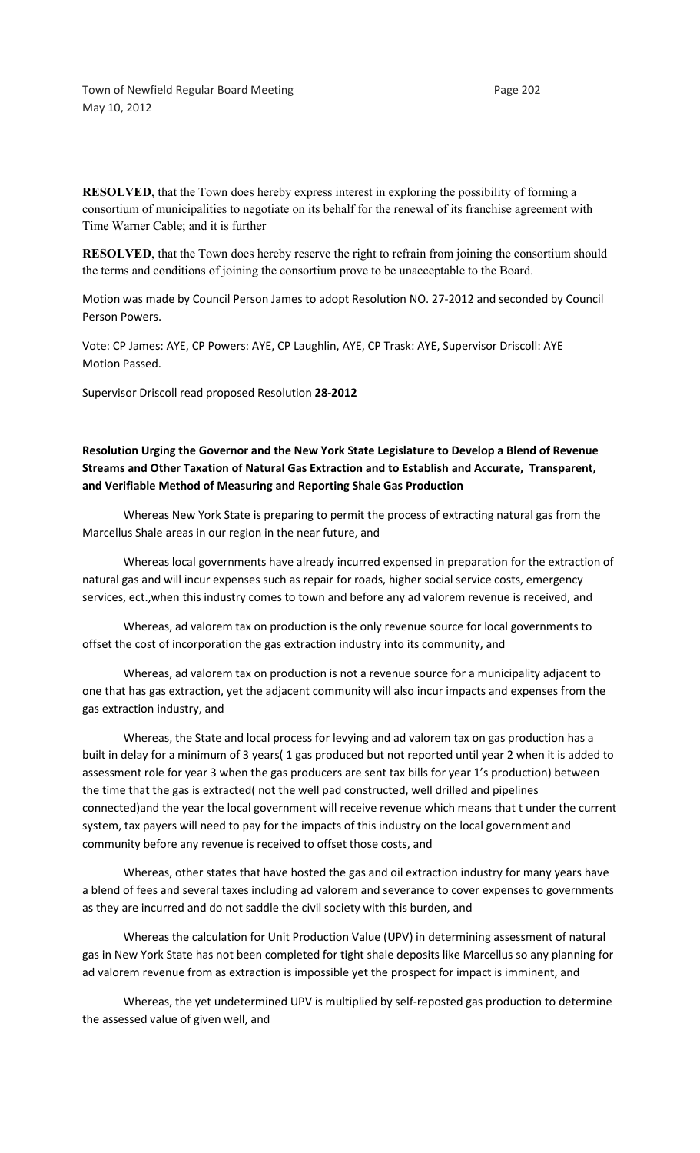Town of Newfield Regular Board Meeting entitled and the Page 202 May 10, 2012

**RESOLVED**, that the Town does hereby express interest in exploring the possibility of forming a consortium of municipalities to negotiate on its behalf for the renewal of its franchise agreement with Time Warner Cable; and it is further

**RESOLVED**, that the Town does hereby reserve the right to refrain from joining the consortium should the terms and conditions of joining the consortium prove to be unacceptable to the Board.

Motion was made by Council Person James to adopt Resolution NO. 27-2012 and seconded by Council Person Powers.

Vote: CP James: AYE, CP Powers: AYE, CP Laughlin, AYE, CP Trask: AYE, Supervisor Driscoll: AYE Motion Passed.

Supervisor Driscoll read proposed Resolution **28-2012**

**Resolution Urging the Governor and the New York State Legislature to Develop a Blend of Revenue Streams and Other Taxation of Natural Gas Extraction and to Establish and Accurate, Transparent, and Verifiable Method of Measuring and Reporting Shale Gas Production** 

Whereas New York State is preparing to permit the process of extracting natural gas from the Marcellus Shale areas in our region in the near future, and

Whereas local governments have already incurred expensed in preparation for the extraction of natural gas and will incur expenses such as repair for roads, higher social service costs, emergency services, ect.,when this industry comes to town and before any ad valorem revenue is received, and

Whereas, ad valorem tax on production is the only revenue source for local governments to offset the cost of incorporation the gas extraction industry into its community, and

Whereas, ad valorem tax on production is not a revenue source for a municipality adjacent to one that has gas extraction, yet the adjacent community will also incur impacts and expenses from the gas extraction industry, and

Whereas, the State and local process for levying and ad valorem tax on gas production has a built in delay for a minimum of 3 years( 1 gas produced but not reported until year 2 when it is added to assessment role for year 3 when the gas producers are sent tax bills for year 1's production) between the time that the gas is extracted( not the well pad constructed, well drilled and pipelines connected)and the year the local government will receive revenue which means that t under the current system, tax payers will need to pay for the impacts of this industry on the local government and community before any revenue is received to offset those costs, and

Whereas, other states that have hosted the gas and oil extraction industry for many years have a blend of fees and several taxes including ad valorem and severance to cover expenses to governments as they are incurred and do not saddle the civil society with this burden, and

Whereas the calculation for Unit Production Value (UPV) in determining assessment of natural gas in New York State has not been completed for tight shale deposits like Marcellus so any planning for ad valorem revenue from as extraction is impossible yet the prospect for impact is imminent, and

Whereas, the yet undetermined UPV is multiplied by self-reposted gas production to determine the assessed value of given well, and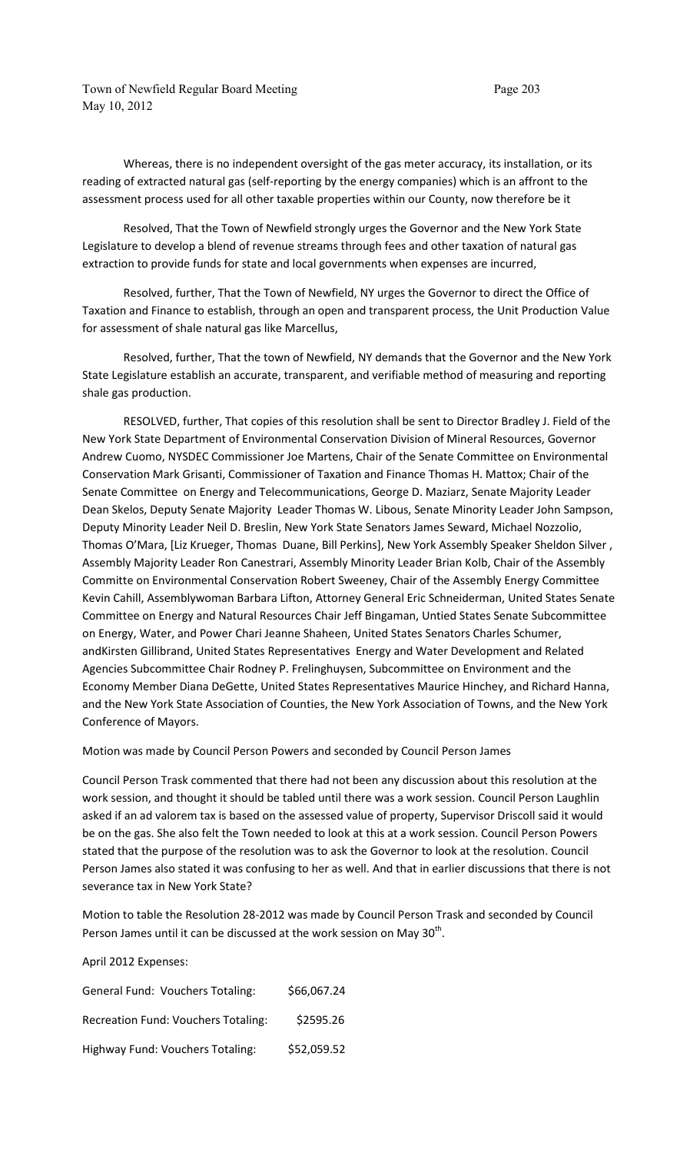Town of Newfield Regular Board Meeting Page 203 May 10, 2012

Whereas, there is no independent oversight of the gas meter accuracy, its installation, or its reading of extracted natural gas (self-reporting by the energy companies) which is an affront to the assessment process used for all other taxable properties within our County, now therefore be it

Resolved, That the Town of Newfield strongly urges the Governor and the New York State Legislature to develop a blend of revenue streams through fees and other taxation of natural gas extraction to provide funds for state and local governments when expenses are incurred,

Resolved, further, That the Town of Newfield, NY urges the Governor to direct the Office of Taxation and Finance to establish, through an open and transparent process, the Unit Production Value for assessment of shale natural gas like Marcellus,

Resolved, further, That the town of Newfield, NY demands that the Governor and the New York State Legislature establish an accurate, transparent, and verifiable method of measuring and reporting shale gas production.

RESOLVED, further, That copies of this resolution shall be sent to Director Bradley J. Field of the New York State Department of Environmental Conservation Division of Mineral Resources, Governor Andrew Cuomo, NYSDEC Commissioner Joe Martens, Chair of the Senate Committee on Environmental Conservation Mark Grisanti, Commissioner of Taxation and Finance Thomas H. Mattox; Chair of the Senate Committee on Energy and Telecommunications, George D. Maziarz, Senate Majority Leader Dean Skelos, Deputy Senate Majority Leader Thomas W. Libous, Senate Minority Leader John Sampson, Deputy Minority Leader Neil D. Breslin, New York State Senators James Seward, Michael Nozzolio, Thomas O'Mara, [Liz Krueger, Thomas Duane, Bill Perkins], New York Assembly Speaker Sheldon Silver , Assembly Majority Leader Ron Canestrari, Assembly Minority Leader Brian Kolb, Chair of the Assembly Committe on Environmental Conservation Robert Sweeney, Chair of the Assembly Energy Committee Kevin Cahill, Assemblywoman Barbara Lifton, Attorney General Eric Schneiderman, United States Senate Committee on Energy and Natural Resources Chair Jeff Bingaman, Untied States Senate Subcommittee on Energy, Water, and Power Chari Jeanne Shaheen, United States Senators Charles Schumer, andKirsten Gillibrand, United States Representatives Energy and Water Development and Related Agencies Subcommittee Chair Rodney P. Frelinghuysen, Subcommittee on Environment and the Economy Member Diana DeGette, United States Representatives Maurice Hinchey, and Richard Hanna, and the New York State Association of Counties, the New York Association of Towns, and the New York Conference of Mayors.

Motion was made by Council Person Powers and seconded by Council Person James

Council Person Trask commented that there had not been any discussion about this resolution at the work session, and thought it should be tabled until there was a work session. Council Person Laughlin asked if an ad valorem tax is based on the assessed value of property, Supervisor Driscoll said it would be on the gas. She also felt the Town needed to look at this at a work session. Council Person Powers stated that the purpose of the resolution was to ask the Governor to look at the resolution. Council Person James also stated it was confusing to her as well. And that in earlier discussions that there is not severance tax in New York State?

Motion to table the Resolution 28-2012 was made by Council Person Trask and seconded by Council Person James until it can be discussed at the work session on May 30<sup>th</sup>.

April 2012 Expenses:

| <b>General Fund: Vouchers Totaling:</b>    | \$66,067.24 |
|--------------------------------------------|-------------|
| <b>Recreation Fund: Vouchers Totaling:</b> | \$2595.26   |
| Highway Fund: Vouchers Totaling:           | \$52,059.52 |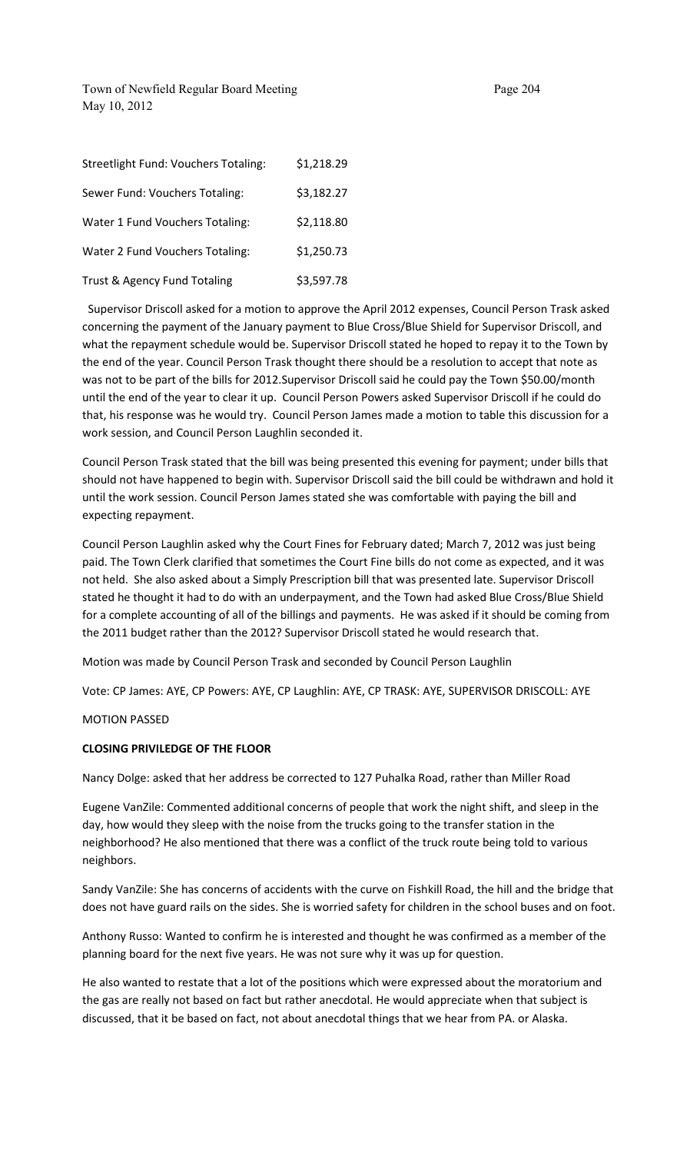Town of Newfield Regular Board Meeting Page 204 May 10, 2012

| <b>Streetlight Fund: Vouchers Totaling:</b> | \$1,218.29 |
|---------------------------------------------|------------|
| Sewer Fund: Vouchers Totaling:              | \$3,182.27 |
| Water 1 Fund Vouchers Totaling:             | \$2,118.80 |
| Water 2 Fund Vouchers Totaling:             | \$1,250.73 |
| Trust & Agency Fund Totaling                | \$3,597.78 |

 Supervisor Driscoll asked for a motion to approve the April 2012 expenses, Council Person Trask asked concerning the payment of the January payment to Blue Cross/Blue Shield for Supervisor Driscoll, and what the repayment schedule would be. Supervisor Driscoll stated he hoped to repay it to the Town by the end of the year. Council Person Trask thought there should be a resolution to accept that note as was not to be part of the bills for 2012.Supervisor Driscoll said he could pay the Town \$50.00/month until the end of the year to clear it up. Council Person Powers asked Supervisor Driscoll if he could do that, his response was he would try. Council Person James made a motion to table this discussion for a work session, and Council Person Laughlin seconded it.

Council Person Trask stated that the bill was being presented this evening for payment; under bills that should not have happened to begin with. Supervisor Driscoll said the bill could be withdrawn and hold it until the work session. Council Person James stated she was comfortable with paying the bill and expecting repayment.

Council Person Laughlin asked why the Court Fines for February dated; March 7, 2012 was just being paid. The Town Clerk clarified that sometimes the Court Fine bills do not come as expected, and it was not held. She also asked about a Simply Prescription bill that was presented late. Supervisor Driscoll stated he thought it had to do with an underpayment, and the Town had asked Blue Cross/Blue Shield for a complete accounting of all of the billings and payments. He was asked if it should be coming from the 2011 budget rather than the 2012? Supervisor Driscoll stated he would research that.

Motion was made by Council Person Trask and seconded by Council Person Laughlin

Vote: CP James: AYE, CP Powers: AYE, CP Laughlin: AYE, CP TRASK: AYE, SUPERVISOR DRISCOLL: AYE

MOTION PASSED

#### **CLOSING PRIVILEDGE OF THE FLOOR**

Nancy Dolge: asked that her address be corrected to 127 Puhalka Road, rather than Miller Road

Eugene VanZile: Commented additional concerns of people that work the night shift, and sleep in the day, how would they sleep with the noise from the trucks going to the transfer station in the neighborhood? He also mentioned that there was a conflict of the truck route being told to various neighbors.

Sandy VanZile: She has concerns of accidents with the curve on Fishkill Road, the hill and the bridge that does not have guard rails on the sides. She is worried safety for children in the school buses and on foot.

Anthony Russo: Wanted to confirm he is interested and thought he was confirmed as a member of the planning board for the next five years. He was not sure why it was up for question.

He also wanted to restate that a lot of the positions which were expressed about the moratorium and the gas are really not based on fact but rather anecdotal. He would appreciate when that subject is discussed, that it be based on fact, not about anecdotal things that we hear from PA. or Alaska.